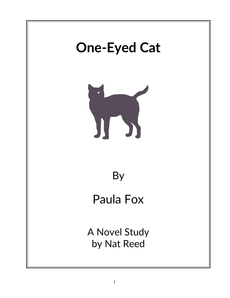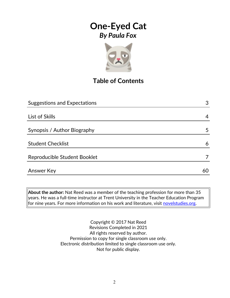

## **Table of Contents**

| <b>Suggestions and Expectations</b> |   |
|-------------------------------------|---|
|                                     |   |
| List of Skills                      | 4 |
|                                     |   |
| Synopsis / Author Biography         | 5 |
|                                     |   |
| <b>Student Checklist</b>            | 6 |
| Reproducible Student Booklet        |   |
|                                     |   |
| Answer Key                          |   |
|                                     |   |

**About the author:** Nat Reed was a member of the teaching profession for more than 35 years. He was a full-time instructor at Trent University in the Teacher Education Program for nine years. For more information on his work and literature, visit [novelstudies.org.](http://www.novelstudies.org/)

> Copyright © 2017 Nat Reed Revisions Completed in 2021 All rights reserved by author. Permission to copy for single classroom use only. Electronic distribution limited to single classroom use only. Not for public display.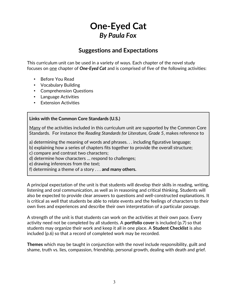### **Suggestions and Expectations**

This curriculum unit can be used in a variety of ways. Each chapter of the novel study focuses on one chapter of *One-Eyed Cat* and is comprised of five of the following activities:

- Before You Read
- Vocabulary Building
- Comprehension Questions
- Language Activities
- Extension Activities

#### **Links with the Common Core Standards (U.S.)**

Many of the activities included in this curriculum unit are supported by the Common Core Standards. For instance the *Reading Standards for Literature, Grade 5*, makes reference to

a) determining the meaning of words and phrases. . . including figurative language;

b) explaining how a series of chapters fits together to provide the overall structure;

c) compare and contrast two characters;

d) determine how characters … respond to challenges;

e) drawing inferences from the text;

f) determining a theme of a story . . . **and many others.**

A principal expectation of the unit is that students will develop their skills in reading, writing, listening and oral communication, as well as in reasoning and critical thinking. Students will also be expected to provide clear answers to questions and well-constructed explanations. It is critical as well that students be able to relate events and the feelings of characters to their own lives and experiences and describe their own interpretation of a particular passage.

A strength of the unit is that students can work on the activities at their own pace. Every activity need not be completed by all students. A **portfolio cover** is included (p.7) so that students may organize their work and keep it all in one place. A **Student Checklist** is also included (p.6) so that a record of completed work may be recorded.

**Themes** which may be taught in conjunction with the novel include responsibility, guilt and shame, truth vs. lies, compassion, friendship, personal growth, dealing with death and grief.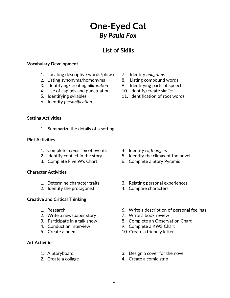### **List of Skills**

#### **Vocabulary Development**

- 1. Locating descriptive words/phrases 7. Identify *anagrams*
- 2. Listing synonyms/homonyms and B. Listing compound words
- 3. Identifying/creating *alliteration* 9. Identifying parts of speech
- 4. Use of capitals and punctuation 10. Identify/create *similes*
- 
- 6. Identify *personification*.
- **Setting Activities**
	- 1. Summarize the details of a setting

#### **Plot Activities**

- 1. Complete a *time line* of events 4. Identify *cliffhangers*
- 
- 

#### **Character Activities**

- 
- 2. Identify the protagonist 4. Compare characters

#### **Creative and Critical Thinking**

- 
- 2. Write a newspaper story **7. Write a book review**
- 
- 
- 

#### **Art Activities**

- 
- 
- 
- 
- 
- 
- 5. Identifying syllables 11. Identification of root words

- 
- 2. Identify conflict in the story 5. Identify the climax of the novel.
- 3. Complete Five W's Chart 6. Complete a Story Pyramid
- 1. Determine character traits 3. Relating personal experiences
	-
- 1. Research 6. Write a description of personal feelings
	-
- 3. Participate in a talk show 8. Complete an Observation Chart
- 4. Conduct an interview 9. Complete a KWS Chart
- 5. Create a poem 10. Create a friendly letter.
- 1. A Storyboard 3. Design a cover for the novel
- 2. Create a collage 4. Create a comic strip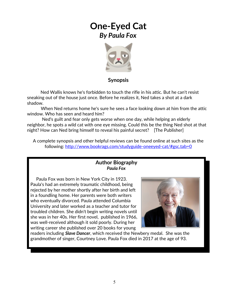

### **Synopsis**

 Ned Wallis knows he's forbidden to touch the rifle in his attic. But he can't resist sneaking out of the house just once. Before he realizes it, Ned takes a shot at a dark shadow.

 When Ned returns home he's sure he sees a face looking down at him from the attic window. Who has seen and heard him?

 Ned's guilt and fear only gets worse when one day, while helping an elderly neighbor, he spots a wild cat with one eye missing. Could this be the thing Ned shot at that night? How can Ned bring himself to reveal his painful secret? [The Publisher]

A complete synopsis and other helpful reviews can be found online at such sites as the following:<http://www.bookrags.com/studyguide-oneeyed-cat/#gsc.tab=0>

#### **Author Biography** *Paula Fox*

 Paula Fox was born in New York City in 1923. Paula's had an extremely traumatic childhood, being rejected by her mother shortly after her birth and left in a foundling home. Her parents were both writers who eventually divorced. Paula attended Columbia University and later worked as a teacher and tutor for troubled children. She didn't begin writing novels until she was in her 40s. Her first novel, published in 1966, was well-received although it sold poorly. During her writing career she published over 20 books for young



readers including *Slave Dancer*, which received the Newbery medal. She was the grandmother of singer, Courtney Love. Paula Fox died in 2017 at the age of 93.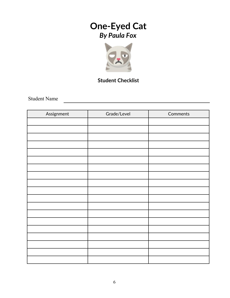

### **Student Checklist**

Student Name

| Assignment | Grade/Level | Comments |
|------------|-------------|----------|
|            |             |          |
|            |             |          |
|            |             |          |
|            |             |          |
|            |             |          |
|            |             |          |
|            |             |          |
|            |             |          |
|            |             |          |
|            |             |          |
|            |             |          |
|            |             |          |
|            |             |          |
|            |             |          |
|            |             |          |
|            |             |          |
|            |             |          |
|            |             |          |
|            |             |          |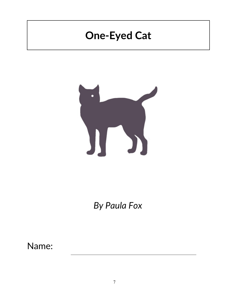# **One-Eyed Cat**



*By Paula Fox*

Name: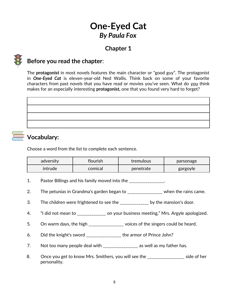### **Chapter 1**



### **Before you read the chapter**:

The **protagonist** in most novels features the main character or "good guy". The protagonist in *One-Eyed Cat* is eleven-year-old Ned Wallis. Think back on some of your favorite characters from past novels that you have read or movies you've seen. What do you think makes for an especially interesting **protagonist,** one that you found very hard to forget?

|  | ________ |  |
|--|----------|--|

## **Vocabulary:**

Choose a word from the list to complete each sentence.

| adversity | flourish | tremulous | parsonage |
|-----------|----------|-----------|-----------|
| intrude   | comical  | penetrate | gargoyle  |

- 1. Pastor Billings and his family moved into the \_\_\_\_\_\_\_\_\_\_\_\_\_\_\_.
- 2. The petunias in Grandma's garden began to \_\_\_\_\_\_\_\_\_\_\_\_\_\_\_\_ when the rains came.
- 3. The children were frightened to see the \_\_\_\_\_\_\_\_\_\_\_\_\_ by the mansion's door.
- 4. "I did not mean to election your business meeting," Mrs. Argyle apologized.
- 5. On warm days, the high \_\_\_\_\_\_\_\_\_\_\_\_\_\_\_\_\_ voices of the singers could be heard.
- 6. Did the knight's sword \_\_\_\_\_\_\_\_\_\_\_\_\_\_\_\_\_ the armor of Prince John?
- 7. Not too many people deal with \_\_\_\_\_\_\_\_\_\_\_\_\_\_\_\_\_\_ as well as my father has.
- 8. Once you get to know Mrs. Smithers, you will see the side of her personality.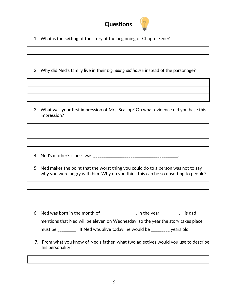

- 1. What is the **setting** of the story at the beginning of Chapter One?
- 2. Why did Ned's family live in their *big, ailing old house* instead of the parsonage?

3. What was your first impression of Mrs. Scallop? On what evidence did you base this impression?

4. Ned's mother's illness was \_\_\_\_\_\_\_\_\_\_\_\_\_\_\_\_\_\_\_\_\_\_\_\_\_\_\_\_\_\_\_\_\_\_\_\_\_\_\_\_\_.

5. Ned makes the point that the worst thing you could do to a person was not to say why you were angry with him. Why do you think this can be so upsetting to people?

- 6. Ned was born in the month of  $_{\_$ mentions that Ned will be eleven on Wednesday, so the year the story takes place must be \_\_\_\_\_\_\_\_\_\_ If Ned was alive today, he would be \_\_\_\_\_\_\_\_\_ years old.
- 7. From what you know of Ned's father, what two adjectives would you use to describe his personality?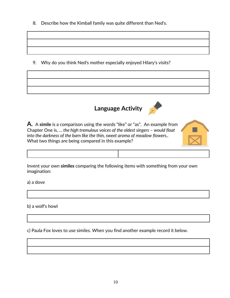8. Describe how the Kimball family was quite different than Ned's.

9. Why do you think Ned's mother especially enjoyed Hilary's visits?







Invent your own **similes** comparing the following items with something from your own imagination:

a) a dove

b) a wolf's howl

c) Paula Fox loves to use similes. When you find another example record it below.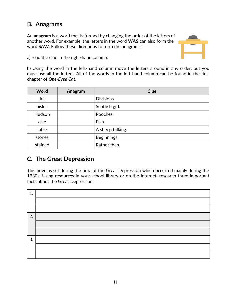### **B. Anagrams**

An **anagram** is a word that is formed by changing the order of the letters of another word. For example, the letters in the word **WAS** can also form the word **SAW**. Follow these directions to form the anagrams:



a) read the clue in the right-hand column.

b) Using the word in the left-hand column move the letters around in any order, but you must use all the letters. All of the words in the left-hand column can be found in the first chapter of *One-Eyed Cat*.

| <b>Word</b> | Anagram | <b>Clue</b>      |
|-------------|---------|------------------|
| first       |         | Divisions.       |
| aisles      |         | Scottish girl.   |
| Hudson      |         | Pooches.         |
| else        |         | Fish.            |
| table       |         | A sheep talking. |
| stones      |         | Beginnings.      |
| stained     |         | Rather than.     |

### **C. The Great Depression**

This novel is set during the time of the Great Depression which occurred mainly during the 1930s. Using resources in your school library or on the Internet, research three important facts about the Great Depression.

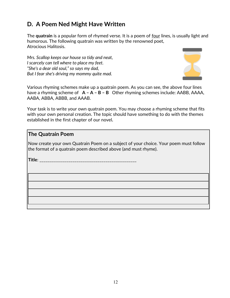## **D. A Poem Ned Might Have Written**

The **quatrain** is a popular form of rhymed verse. It is a poem of four lines, is usually light and humorous. The following quatrain was written by the renowned poet, Atrocious Halitosis.

*Mrs. Scallop keeps our house so tidy and neat, I scarcely can tell where to place my feet. "She's a dear old soul," so says my dad, But I fear she's driving my mommy quite mad.*



Various rhyming schemes make up a quatrain poem. As you can see, the above four lines have a rhyming scheme of **A – A – B – B** Other rhyming schemes include: AABB, AAAA, AABA, ABBA, ABBB, and AAAB.

Your task is to write your own quatrain poem. You may choose a rhyming scheme that fits with your own personal creation. The topic should have something to do with the themes established in the first chapter of our novel*.*

### **The Quatrain Poem**

Now create your own Quatrain Poem on a subject of your choice. Your poem must follow the format of a quatrain poem described above (and must rhyme).

**Title**: \_\_\_\_\_\_\_\_\_\_\_\_\_\_\_\_\_\_\_\_\_\_\_\_\_\_\_\_\_\_\_\_\_\_\_\_\_\_\_\_\_\_\_\_\_\_\_